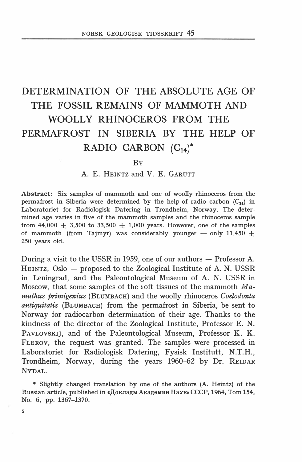# DETERMINATION OF THE ABSOLUTE AGE OF THE FOSSIL REMAINS OF MAMMOTH AND WOOLLY RHINOCEROS FROM THE PERMAFROST IN SIBERIA BY THE HELP OF RADIO CARBON  $(C_{14})^*$

#### BY

## A. E. HEINTZ and V. E. GARUTT

Abstract: Six samples of mammoth and one of woolly rhinoceros from the permafrost in Siberia were determined by the help of radio carbon  $(C_{14})$  in Laboratoriet for Radiologisk Datering in Trondheim, Norway. The determined age varies in five of the mammoth samples and the rhinoceros sample from 44,000  $\pm$  3,500 to 33,500  $\pm$  1,000 years. However, one of the samples of mammoth (from Tajmyr) was considerably younger  $-$  only 11,450  $+$ 250 years old.

During a visit to the USSR in 1959, one of our authors  $-$  Professor A. HEINTZ, Oslo - proposed to the Zoological Institute of A. N. USSR in Leningrad, and the Paleontological Museum of A. N. USSR in Moscow, that some samples of the voft tissues of the mammoth  $Ma$ muthus primigenius (BLUMBACH) and the woolly rhinoceros Coelodonta antiquitatis (BLUMBACH) from the permafrost in Siberia, be sent to Norway for radiocarbon determination of their age. Thanks to the kindness of the director of the Zoological Institute, Professor E. N. PAVLOVSKIJ, and of the Paleontological Museum, Professor K. K. FLEROV, the request was granted. The samples were processed in Laboratoriet for Radiologisk Datering, Fysisk Institutt, N.T.H., Trondheim, Norway, during the years 1960-62 by Dr. REIDAR NYDAL.

• Slightly changed translation by one of the authors (A. Heintz) of the Russian article, published in «Доклады Академии Наук» СССР, 1964, Tom 154, No. 6, pp. 1367-1370.

5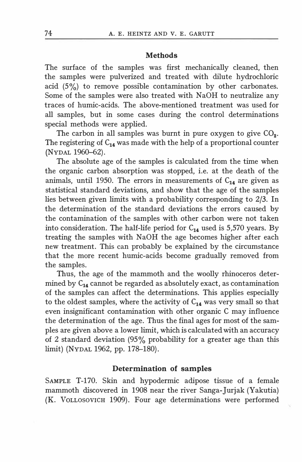### **Methods**

The surface of the samples was first mechanically cleaned, then the samples were pulverized and treated with dilute hydrochloric acid  $(5\%)$  to remove possible contamination by other carbonates. Some of the samples were also treated with NaOH to neutralize any traces of humic-acids. The above-mentioned treatment was used for all samples, but in some cases during the control determinations special methods were applied.

The carbon in all samples was burnt in pure oxygen to give  $CO<sub>2</sub>$ . The registering of  $C_{14}$  was made with the help of a proportional counter (NYDAL 1960-62).

The absolute age of the samples is calculated from the time when the organic carbon absorption was stopped, i.e. at the death of the animals, until 1950. The errors in measurements of  $C_{14}$  are given as statistical standard deviations, and show that the age of the samples lies between given limits with a probability corresponding to 2/3. In the determination of the standard deviations the errors caused by the contamination of the samples with other carbon were not taken into consideration. The half-life period for  $C_{14}$  used is 5,570 years. By treating the samples with NaOH the age becomes higher after each new treatment. This can probably be explained by the circumstance that the more recent humic-acids become gradually removed from the samples.

Thus, the age of the mammoth and the woolly rhinoceros determined by  $C_{14}$  cannot be regarded as absolutely exact, as contamination of the samples can affect the determinations. This applies especially to the oldest samples, where the activity of  $C_{14}$  was very small so that even insignificant contamination with other organic C may influence the determination of the age. Thus the final ages for most of the samples are given above a lower limit, which is calculated with an accuracy of 2 standard deviation (95% probability for a greater age than this limit) (NYDAL 1962, pp. 178-180).

## Determination of samples

SAMPLE T-170. Skin and hypodermic adipose tissue of a female mammoth discovered in 1908 near the river Sanga-Jurjak (Yakutia) (K. VoLLOSOVICH 1909). Four age determinations were performed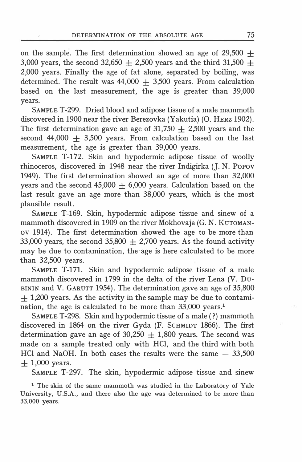on the sample. The first determination showed an age of 29,500  $\pm$ 3,000 years, the second 32,650  $\pm$  2,500 years and the third 31,500  $\pm$ 2,000 years. Finally the age of fat alone, separated by boiling, was determined. The result was  $44,000 + 3,500$  years. From calculation based on the last measurement, the age is greater than 39,000 years.

SAMPLE T-299. Dried blood and adipose tissue of a male mammoth discovered in 1900 near the river Berezovka (Yakutia) (0. HERZ 1902). The first determination gave an age of 31,750  $\pm$  2,500 years and the second  $44,000 \pm 3,500$  years. From calculation based on the last measurement, the age is greater than 39,000 years.

SAMPLE T-172. Skin and hypodermic adipose tissue of woolly rhinoceros, discovered in 1948 near the river Indigirka (J. N. POPOV 1949). The first determination showed an age of more than 32,000 years and the second  $45,000 + 6,000$  years. Calculation based on the last result gave an age more than 38,000 years, which is the most plausible result.

SAMPLE T-169. Skin, hypodermic adipose tissue and sinew of a mammoth discovered in 1909 on the river Mokhovaja (G. N. KUTOMANov 1914). The first determination showed the age to be more than 33,000 years, the second 35,800  $\pm$  2,700 years. As the found activity may be due to contamination, the age is here calculated to be more than 32,500 years.

SAMPLE T-171. Skin and hypodermic adipose tissue of a male mammoth discovered in 1799 in the delta of the river Lena (V. Du-BININ and V. GARUTT 1954). The determination gave an age of 35,800  $+$  1,200 years. As the activity in the sample may be due to contamination, the age is calculated to be more than 33,000 years.1

SAMPLE T-298. Skin and hypodermic tissue of a male ( ?) mammoth discovered in 1864 on the river Gyda (F. ScHMIDT 1866). The first determination gave an age of  $30,250 \pm 1,800$  years. The second was made on a sample treated only with HCI, and the third with both HCl and NaOH. In both cases the results were the same  $-33,500$  $+1,000$  years.

SAMPLE T-297. The skin, hypodermic adipose tissue and sinew

<sup>1</sup> The skin of the same mammoth was studied in the Laboratory of Yale University, U.S.A., and there also the age was determined to be more than 33,000 years.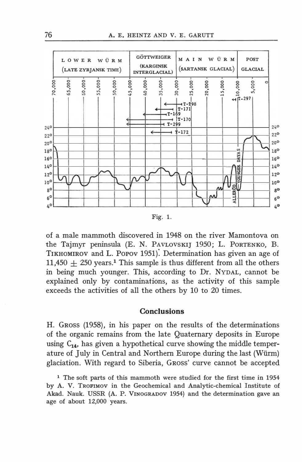

Fig. l.

of a male mammoth discovered in 1948 on the river Mamontova on the Tajmyr peninsula (E. N. PAVLOVSKIJ 1950; L. PORTENKO, B. TIKHOMIROV and L. PoPov 1951): Determination has given an age of 11,450  $\pm$  250 years.<sup>1</sup> This sample is thus different from all the others in being much younger. This, according to Dr. NYDAL, cannot be explained only by contaminations, as the activity of this sample exceeds the activities of all the others by 10 to 20 times.

# **Conclusions**

H. Gross (1958), in his paper on the results of the determinations of the organic remains from the late Quatemary deposits in Europe using  $C_{14}$ , has given a hypothetical curve showing the middle temperature of July in Central and Northem Europe during the last (Wiirm) glaciation. With regard to Siberia, GRoss' curve cannot be accepted

1 The soft parts of this mammoth were studied for the first time in 1954 by A. V. TROFIMOV in the Geochemical and Analytic-chemical Institute of Akad. Nauk. USSR (A. P. VINOGRADOV 1954) and the determination gave an age of about 12,000 years.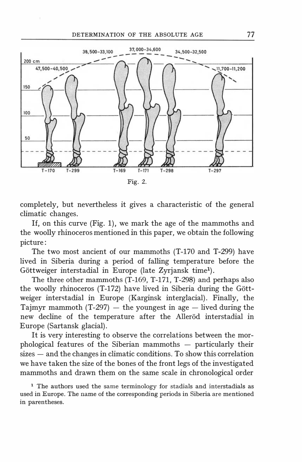

completely, but nevertheless it gives a characteristic of the general climatic changes.

If, on this curve (Fig. 1), we mark the age of the mammoths and the woolly rhinoceros mentioned in this paper, we obtain the following picture:

The two most ancient of our mammoths (T-170 and T-299) have lived in Siberia during a period of falling temperature before the Göttweiger interstadial in Europe (late Zyrjansk time<sup>1</sup>).

The three other mammoths (T-169, T-171, T-298) and perhaps also the woolly rhinoceros (T-172) have lived in Siberia during the Gottweiger interstadial in Europe (Karginsk interglacial). Finally, the Tajmyr mammoth  $(T-297)$  — the youngest in age — lived during the new decline of the temperature after the Allerod interstadial in Europe (Sartansk glacial).

It is very interesting to observe the correlations between the mor $phological$  features of the Siberian mammoths  $-$  particularly their  $sizes - and the changes in climatic conditions. To show this correlation$ we have taken the size of the bones of the front legs of the investigated mammoths and drawn them on the same scale in chronological order

<sup>1</sup> The authors used the same terminology for stadials and interstadials as used in Europe. The name of the corresponding periods in Siberia are mentioned in parentheses.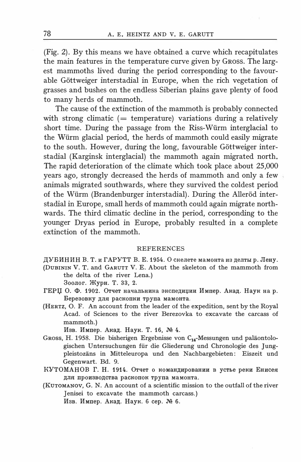(Fig. 2). By this means we have obtained a curve which recapitulates the main features in the temperature curve given by GROSS. The largest mammoths lived during the period corresponding to the favourable Göttweiger interstadial in Europe, when the rich vegetation of grasses and bushes on the endless Siberian plains gave plenty of food to many herds of mammoth.

The cause of the extinction of the mammoth is probably connected with strong climatic  $($  = temperature) variations during a relatively short time. During the passage from the Riss-Würm interglacial to the Würm glacial period, the herds of mammoth could easily migrate to the south. However, during the long, favourable Göttweiger interstadial (Karginsk interglacial) the mammoth again migrated north. The rapid deterioration of the climate which took place about 25,000 years ago, strongly decreased the herds of mammoth and only a few animals migrated southwards, where they survived the coldest period of the Würm (Brandenburger interstadial). During the Alleröd interstadial in Europe, small herds of mammoth could again migrate northwards. The third climatic decline in the period, corresponding to the younger Dryas period in Europe, probably resulted in a complete extinction of the mammoth.

#### **REFERENCES**

ДУБИНИН В. Т. и ГАРУТТ В. Е. 1954. О скелете мамонта из делты р. Лену.

- (DUBININ V. T. and GARUTT V. E. About the skeleton of the mammoth from the delta of the river Lena.) Зоолог. Журн. Т. 33, 2.
- ГЕРЏ О. Ф. 1902. Отчет начальника экспедиции Импер. Акад. Наук на р. Березовку для раскопки трупа мамонта.
- (HERTZ, O. F. An account from the leader of the expedition, sent by the Royal Acad. of Sciences to the river Berezovka to excavate the carcass of mammoth.)

Изв. Импер. Акад. Наук. Т. 16, № 4.

- GROSS, H. 1958. Die bisherigen Ergebnisse von C<sub>14</sub>-Messungen und paläontologischen Untersuchungen für die Gliederung und Chronologie des Jungpleistozäns in Mitteleuropa und den Nachbargebieten: Eiszeit und Gegenwart. Bd. 9.
- КУТОМАНОВ Г. Н. 1914. Отчет о командировании в устье реки Енисея для производства раскопок трупа мамонта.
- (KUTOMANOV, G. N. An account of a scientific mission to the outfall of the river Jenisei to excavate the mammoth carcass.) Изв. Импер. Акад. Наук. 6 сер. № 6.